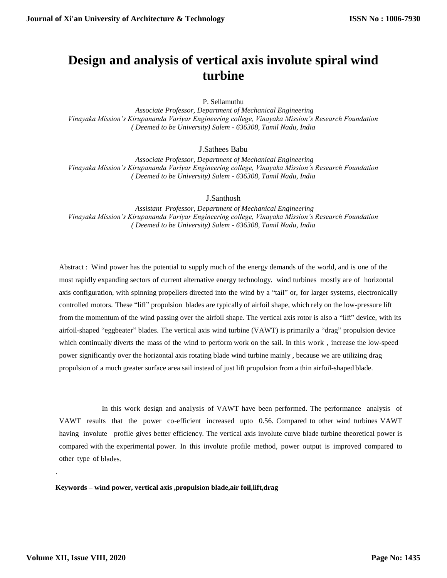# **Design and analysis of vertical axis involute spiral wind turbine**

P. Sellamuthu

 *Associate Professor, Department of Mechanical Engineering Vinayaka Mission's Kirupananda Variyar Engineering college, Vinayaka Mission's Research Foundation ( Deemed to be University) Salem - 636308, Tamil Nadu, India*

J.Sathees Babu

 *Associate Professor, Department of Mechanical Engineering Vinayaka Mission's Kirupananda Variyar Engineering college, Vinayaka Mission's Research Foundation ( Deemed to be University) Salem - 636308, Tamil Nadu, India*

J.Santhosh

 *Assistant Professor, Department of Mechanical Engineering Vinayaka Mission's Kirupananda Variyar Engineering college, Vinayaka Mission's Research Foundation ( Deemed to be University) Salem - 636308, Tamil Nadu, India*

Abstract : Wind power has the potential to supply much of the energy demands of the world, and is one of the most rapidly expanding sectors of current alternative energy technology. wind turbines mostly are of horizontal axis configuration, with spinning propellers directed into the wind by a "tail" or, for larger systems, electronically controlled motors. These "lift" propulsion blades are typically of airfoil shape, which rely on the low-pressure lift from the momentum of the wind passing over the airfoil shape. The vertical axis rotor is also a "lift" device, with its airfoil-shaped "eggbeater" blades. The vertical axis wind turbine (VAWT) is primarily a "drag" propulsion device which continually diverts the mass of the wind to perform work on the sail. In this work, increase the low-speed power significantly over the horizontal axis rotating blade wind turbine mainly , because we are utilizing drag propulsion of a much greater surface area sail instead of just lift propulsion from a thin airfoil-shaped blade.

In this work design and analysis of VAWT have been performed. The performance analysis of VAWT results that the power co-efficient increased upto 0.56. Compared to other wind turbines VAWT having involute profile gives better efficiency. The vertical axis involute curve blade turbine theoretical power is compared with the experimental power. In this involute profile method, power output is improved compared to other type of blades.

**Keywords – wind power, vertical axis ,propulsion blade,air foil,lift,drag** 

.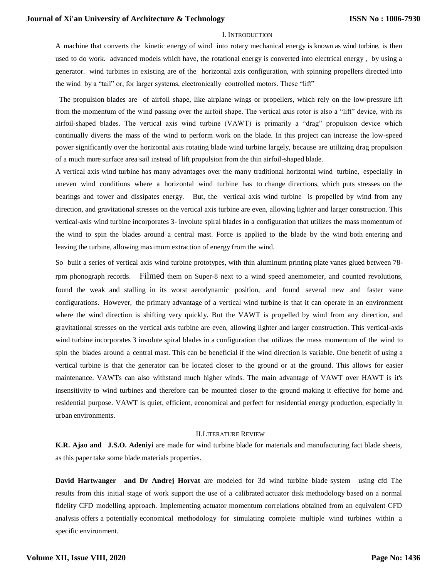#### I. INTRODUCTION

A machine that converts the kinetic energy of wind into rotary mechanical energy is known as wind turbine, is then used to do work. advanced models which have, the rotational energy is converted into electrical energy , by using a generator. wind turbines in existing are of the horizontal axis configuration, with spinning propellers directed into the wind by a "tail" or, for larger systems, electronically controlled motors. These "lift"

The propulsion blades are of airfoil shape, like airplane wings or propellers, which rely on the low-pressure lift from the momentum of the wind passing over the airfoil shape. The vertical axis rotor is also a "lift" device, with its airfoil-shaped blades. The vertical axis wind turbine (VAWT) is primarily a "drag" propulsion device which continually diverts the mass of the wind to perform work on the blade. In this project can increase the low-speed power significantly over the horizontal axis rotating blade wind turbine largely, because are utilizing drag propulsion of a much more surface area sail instead of lift propulsion from the thin airfoil-shaped blade.

A vertical axis wind turbine has many advantages over the many traditional horizontal wind turbine, especially in uneven wind conditions where a horizontal wind turbine has to change directions, which puts stresses on the bearings and tower and dissipates energy. But, the vertical axis wind turbine is propelled by wind from any direction, and gravitational stresses on the vertical axis turbine are even, allowing lighter and larger construction. This vertical-axis wind turbine incorporates 3- involute spiral blades in a configuration that utilizes the mass momentum of the wind to spin the blades around a central mast. Force is applied to the blade by the wind both entering and leaving the turbine, allowing maximum extraction of energy from the wind.

So built a series of vertical axis wind turbine prototypes, with thin aluminum printing plate vanes glued between 78 rpm phonograph records. Filmed them on Super-8 next to a wind speed anemometer, and counted revolutions, found the weak and stalling in its worst aerodynamic position, and found several new and faster vane configurations. However, the primary advantage of a vertical wind turbine is that it can operate in an environment where the wind direction is shifting very quickly. But the VAWT is propelled by wind from any direction, and gravitational stresses on the vertical axis turbine are even, allowing lighter and larger construction. This vertical-axis wind turbine incorporates 3 involute spiral blades in a configuration that utilizes the mass momentum of the wind to spin the blades around a central mast. This can be beneficial if the wind direction is variable. One benefit of using a vertical turbine is that the generator can be located closer to the ground or at the ground. This allows for easier maintenance. VAWTs can also withstand much higher winds. The main advantage of VAWT over HAWT is it's insensitivity to wind turbines and therefore can be mounted closer to the ground making it effective for home and residential purpose. VAWT is quiet, efficient, economical and perfect for residential energy production, especially in urban environments.

# II.LITERATURE REVIEW

**K.R. Ajao and J.S.O. Adeniyi** are made for wind turbine blade for materials and manufacturing fact blade sheets, as this paper take some blade materials properties.

**David Hartwanger and Dr Andrej Horvat** are modeled for 3d wind turbine blade system using cfd The results from this initial stage of work support the use of a calibrated actuator disk methodology based on a normal fidelity CFD modelling approach. Implementing actuator momentum correlations obtained from an equivalent CFD analysis offers a potentially economical methodology for simulating complete multiple wind turbines within a specific environment.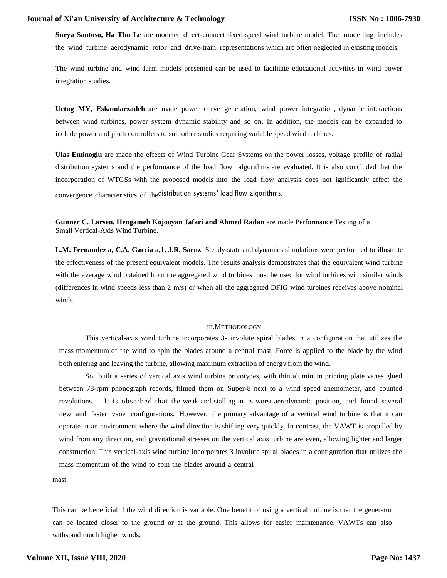**Surya Santoso, Ha Thu Le** are modeled direct-connect fixed-speed wind turbine model. The modelling includes the wind turbine aerodynamic rotor and drive-train representations which are often neglected in existing models.

The wind turbine and wind farm models presented can be used to facilitate educational activities in wind power integration studies.

**Uctug MY, Eskandarzadeh** are made power curve generation, wind power integration, dynamic interactions between wind turbines, power system dynamic stability and so on. In addition, the models can be expanded to include power and pitch controllers to suit other studies requiring variable speed wind turbines.

**Ulas Eminoglu** are made the effects of Wind Turbine Gear Systems on the power losses, voltage profile of radial distribution systems and the performance of the load flow algorithms are evaluated. It is also concluded that the incorporation of WTGSs with the proposed models into the load flow analysis does not ignificantly affect the convergence characteristics of thedistribution systems' load flow algorithms.

**Gunner C. Larsen, Hengameh Kojooyan Jafari and Ahmed Radan** are made Performance Testing of a Small Vertical-Axis Wind Turbine.

**L.M. Fernandez a, C.A. García a,1, J.R. Saenz** Steady-state and dynamics simulations were performed to illustrate the effectiveness of the present equivalent models. The results analysis demonstrates that the equivalent wind turbine with the average wind obtained from the aggregated wind turbines must be used for wind turbines with similar winds (differences in wind speeds less than 2 m/s) or when all the aggregated DFIG wind turbines receives above nominal winds.

#### III.METHODOLOGY

This vertical-axis wind turbine incorporates 3- involute spiral blades in a configuration that utilizes the mass momentum of the wind to spin the blades around a central mast. Force is applied to the blade by the wind both entering and leaving the turbine, allowing maximum extraction of energy from the wind.

So built a series of vertical axis wind turbine prototypes, with thin aluminum printing plate vanes glued between 78-rpm phonograph records, filmed them on Super-8 next to a wind speed anemometer, and counted revolutions. It is obserbed that the weak and stalling in its worst aerodynamic position, and found several new and faster vane configurations. However, the primary advantage of a vertical wind turbine is that it can operate in an environment where the wind direction is shifting very quickly. In contrast, the VAWT is propelled by wind from any direction, and gravitational stresses on the vertical axis turbine are even, allowing lighter and larger construction. This vertical-axis wind turbine incorporates 3 involute spiral blades in a configuration that utilizes the mass momentum of the wind to spin the blades around a central

mast.

This can be beneficial if the wind direction is variable. One benefit of using a vertical turbine is that the generator can be located closer to the ground or at the ground. This allows for easier maintenance. VAWTs can also withstand much higher winds.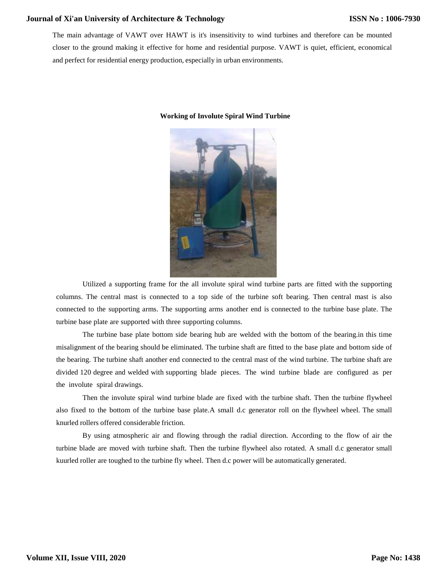The main advantage of VAWT over HAWT is it's insensitivity to wind turbines and therefore can be mounted closer to the ground making it effective for home and residential purpose. VAWT is quiet, efficient, economical and perfect for residential energy production, especially in urban environments.



#### **Working of Involute Spiral Wind Turbine**

Utilized a supporting frame for the all involute spiral wind turbine parts are fitted with the supporting columns. The central mast is connected to a top side of the turbine soft bearing. Then central mast is also connected to the supporting arms. The supporting arms another end is connected to the turbine base plate. The turbine base plate are supported with three supporting columns.

The turbine base plate bottom side bearing hub are welded with the bottom of the bearing.in this time misalignment of the bearing should be eliminated. The turbine shaft are fitted to the base plate and bottom side of the bearing. The turbine shaft another end connected to the central mast of the wind turbine. The turbine shaft are divided 120 degree and welded with supporting blade pieces. The wind turbine blade are configured as per the involute spiral drawings.

Then the involute spiral wind turbine blade are fixed with the turbine shaft. Then the turbine flywheel also fixed to the bottom of the turbine base plate.A small d.c generator roll on the flywheel wheel. The small knurled rollers offered considerable friction.

By using atmospheric air and flowing through the radial direction. According to the flow of air the turbine blade are moved with turbine shaft. Then the turbine flywheel also rotated. A small d.c generator small kuurled roller are toughed to the turbine fly wheel. Then d.c power will be automatically generated.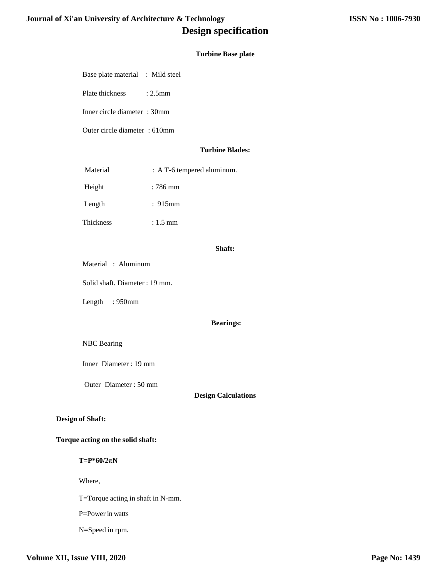# **Turbine Base plate**

Base plate material : Mild steel

Plate thickness : 2.5mm

Inner circle diameter : 30mm

Outer circle diameter : 610mm

### **Turbine Blades:**

| Material  | $: A T-6$ tempered aluminum. |
|-----------|------------------------------|
| Height    | : 786 mm                     |
| Length    | :915mm                       |
| Thickness | $: 1.5$ mm                   |

#### **Shaft:**

Material : Aluminum

Solid shaft. Diameter : 19 mm.

Length : 950mm

#### **Bearings:**

# NBC Bearing

Inner Diameter : 19 mm

Outer Diameter : 50 mm

# **Design Calculations**

# **Design of Shaft:**

# **Torque acting on the solid shaft:**

**T=P\*60/2πN**

Where,

T=Torque acting in shaft in N-mm.

P=Power in watts

N=Speed in rpm.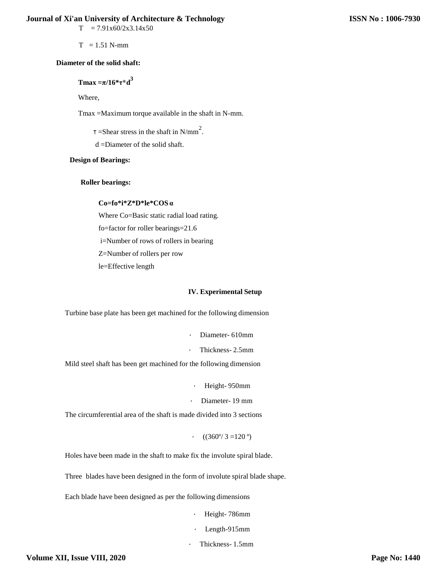$T = 7.91x60/2x3.14x50$ 

 $T = 1.51$  N-mm

#### **Diameter of the solid shaft:**

# **Tmax =π/16\*τ\*d 3**

Where,

Tmax =Maximum torque available in the shaft in N-mm.

 $\tau$  =Shear stress in the shaft in N/mm<sup>2</sup>.

d =Diameter of the solid shaft.

# **Design of Bearings:**

#### **Roller bearings:**

# **Co=fo\*i\*Z\*D\*le\*COS α**

Where Co=Basic static radial load rating.

fo=factor for roller bearings=21.6

i=Number of rows of rollers in bearing

Z=Number of rollers per row

le=Effective length

#### **IV. Experimental Setup**

Turbine base plate has been get machined for the following dimension

- Diameter- 610mm
- Thickness- 2.5mm

Mild steel shaft has been get machined for the following dimension

• Height- 950mm

• Diameter- 19 mm

The circumferential area of the shaft is made divided into 3 sections

 $\cdot$  ((360°/3 =120 °)

Holes have been made in the shaft to make fix the involute spiral blade.

Three blades have been designed in the form of involute spiral blade shape.

Each blade have been designed as per the following dimensions

- Height- 786mm
- Length-915mm
- Thickness- 1.5mm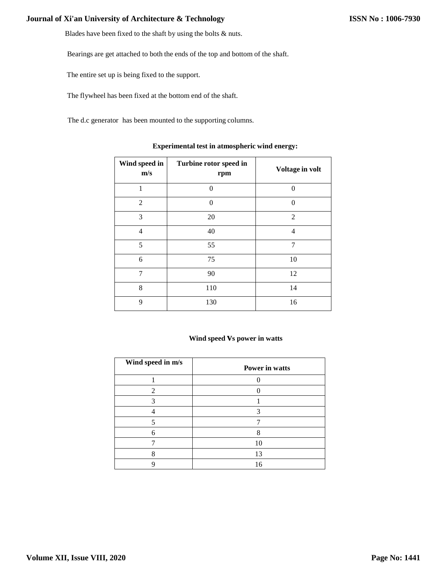Blades have been fixed to the shaft by using the bolts & nuts.

Bearings are get attached to both the ends of the top and bottom of the shaft.

The entire set up is being fixed to the support.

The flywheel has been fixed at the bottom end of the shaft.

The d.c generator has been mounted to the supporting columns.

| Wind speed in<br>m/s | Turbine rotor speed in<br>rpm | Voltage in volt |
|----------------------|-------------------------------|-----------------|
| 1                    | $\Omega$                      | $\Omega$        |
| $\overline{2}$       | $\Omega$                      | $\theta$        |
| 3                    | 20                            | $\overline{2}$  |
| 4                    | 40                            | 4               |
| 5                    | 55                            | $\overline{7}$  |
| 6                    | 75                            | 10              |
| $\overline{7}$       | 90                            | 12              |
| 8                    | 110                           | 14              |
| 9                    | 130                           | 16              |

# **Experimental test in atmospheric wind energy:**

#### **Wind speed vs power in watts**

| Wind speed in m/s | Power in watts |
|-------------------|----------------|
|                   |                |
|                   |                |
| 3                 |                |
|                   | 3              |
|                   |                |
|                   |                |
|                   | 10             |
|                   | 13             |
|                   | 16             |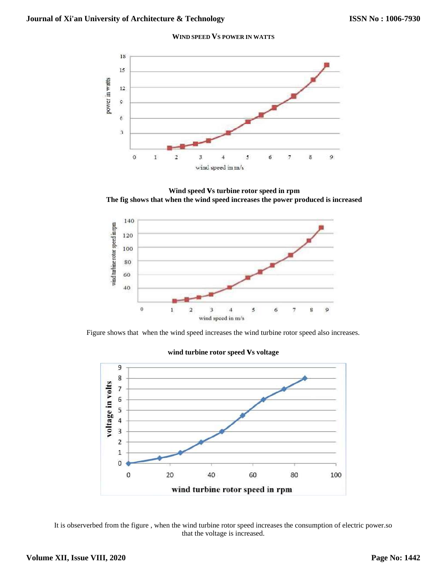#### **WIND SPEED VS POWER IN WATTS**



**Wind speed vs turbine rotor speed in rpm The fig shows that when the wind speed increases the power produced is increased** 



Figure shows that when the wind speed increases the wind turbine rotor speed also increases.



#### **wind turbine rotor speed vs voltage**

It is observerbed from the figure , when the wind turbine rotor speed increases the consumption of electric power.so that the voltage is increased.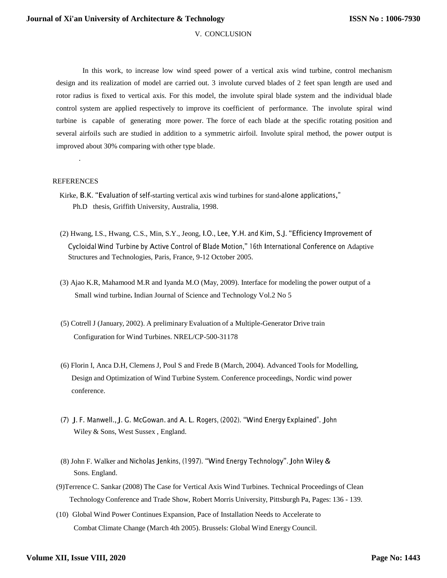#### V. CONCLUSION

In this work, to increase low wind speed power of a vertical axis wind turbine, control mechanism design and its realization of model are carried out. 3 involute curved blades of 2 feet span length are used and rotor radius is fixed to vertical axis. For this model, the involute spiral blade system and the individual blade control system are applied respectively to improve its coefficient of performance. The involute spiral wind turbine is capable of generating more power. The force of each blade at the specific rotating position and several airfoils such are studied in addition to a symmetric airfoil. Involute spiral method, the power output is improved about 30% comparing with other type blade.

#### REFERENCES

.

- Kirke, B.K. "Evaluation of self-starting vertical axis wind turbines for stand-alone applications," Ph.D thesis, Griffith University, Australia, 1998.
- (2) Hwang, I.S., Hwang, C.S., Min, S.Y., Jeong, I.O., Lee, Y.H. and Kim, S.J. "Efficiency Improvement of Cycloidal Wind Turbine by Active Control of Blade Motion," 16th International Conference on Adaptive Structures and Technologies, Paris, France, 9-12 October 2005.
- (3) Ajao K.R, Mahamood M.R and Iyanda M.O (May, 2009). Interface for modeling the power output of a Small wind turbine**.** Indian Journal of Science and Technology Vol.2 No 5
- (5) Cotrell J (January, 2002). A preliminary Evaluation of a Multiple-Generator Drive train Configuration for Wind Turbines. NREL/CP-500-31178
- (6) Florin I, Anca D.H, Clemens J, Poul S and Frede B (March, 2004). Advanced Tools for Modelling, Design and Optimization of Wind Turbine System. Conference proceedings, Nordic wind power conference.
- (7) J. F. Manwell., J. G. McGowan. and A. L. Rogers, (2002). "Wind Energy Explained". John Wiley & Sons, West Sussex , England.
- (8) John F. Walker and Nicholas Jenkins, (1997). "Wind Energy Technology". John Wiley & Sons. England.
- (9)Terrence C. Sankar (2008) The Case for Vertical Axis Wind Turbines. Technical Proceedings of Clean Technology Conference and Trade Show, Robert Morris University, Pittsburgh Pa, Pages: 136 - 139.
- (10) Global Wind Power Continues Expansion, Pace of Installation Needs to Accelerate to Combat Climate Change (March 4th 2005). Brussels: Global Wind Energy Council.